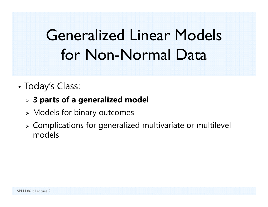# Generalized Linear Models for Non-Normal Data

•Today's Class:

#### **3 parts of a generalized model**

- Models for binary outcomes
- Complications for generalized multivariate or multilevel models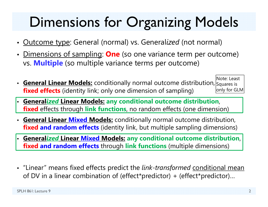## Dimensions for Organizing Models

- Outcome type: General (normal) vs. General*ized* (not normal)
- Dimensions of sampling: **One** (so one variance term per outcome) vs. **Multiple** (so multiple variance terms per outcome)
- Ceneral Linear Models: conditionally normal outcome distribution, Squares is **fixed effects** (identity link; only one dimension of sampling) Note: Least only for GLM
- **General***ized* **Linear Models: any conditional outcome distribution**, **fixed** effects through **link functions**, no random effects (one dimension)
- **General Linear Mixed Models:** conditionally normal outcome distribution, **fixed and random effects** (identity link, but multiple sampling dimensions)
- **General***ized* **Linear Mixed Models: any conditional outcome distribution**, **fixed and random effects** through **link functions** (multiple dimensions)
- "Linear" means fixed effects predict the *link-transformed* conditional mean of DV in a linear combination of (effect\*predictor) + (effect\*predictor)…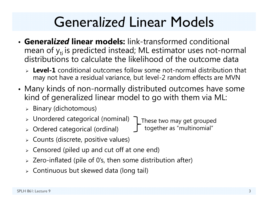## General*ized* Linear Models

- **General***ized* **linear models:** link-transformed conditional mean of  $y_{ti}$  is predicted instead; ML estimator uses not-normal distributions to calculate the likelihood of the outcome data
	- **Level-1** conditional outcomes follow some not-normal distribution that may not have a residual variance, but level-2 random effects are MVN
- • Many kinds of non-normally distributed outcomes have some kind of generalized linear model to go with them via ML:
	- $\triangleright$  Binary (dichotomous)
	- Unordered categorical (nominal) These two may get grouped
	- Ordered categorical (ordinal) together as "multinomial"
	- Counts (discrete, positive values)
	- $\triangleright$  Censored (piled up and cut off at one end)
	- $\triangleright$  Zero-inflated (pile of 0's, then some distribution after)
	- Continuous but skewed data (long tail)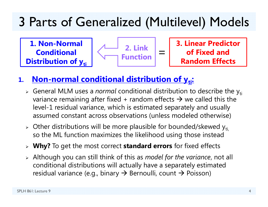### 3 Parts of Generalized (Multilevel) Models

**1. Non-Normal Conditional Distribution of yti** 



**3. Linear Predictor of Fixed and Random Effects**

#### **1.Non-normal conditional distribution of y<sub>ti</sub>:**

- **>** General MLM uses a *normal* conditional distribution to describe the y<sub>ti</sub> variance remaining after fixed + random effects  $\bm{\rightarrow}$  we called this the level-1 residual variance, which is estimated separately and usually assumed constant across observations (unless modeled otherwise)
- $\triangleright$  Other distributions will be more plausible for bounded/skewed y<sub>ti,</sub> so the ML function maximizes the likelihood using those instead
- **Why?** To get the most correct **standard errors** for fixed effects
- Although you can still think of this as *model for the variance*, not all conditional distributions will actually have a separately estimated residual variance (e.g., binary  $\boldsymbol{\rightarrow}$  Bernoulli, count  $\boldsymbol{\rightarrow}$  Poisson)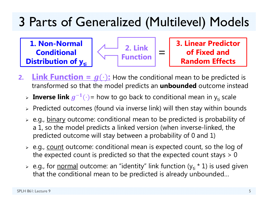## 3 Parts of Generalized (Multilevel) Models

**1. Non-Normal Conditional Distribution of yti** 



**3. Linear Predictor of Fixed and Random Effects**

- **2.Link Function =**  $g(\cdot)$ **:** How the conditional mean to be predicted is transformed so that the model predicts an **unbounded** outcome instead
	- > Inverse link  $g^{-1}(\cdot)$  = how to go back to conditional mean in y<sub>ti</sub> scale
	- $\triangleright$  Predicted outcomes (found via inverse link) will then stay within bounds
	- > e.g., <u>binary</u> outcome: conditional mean to be predicted is probability of a 1, so the model predicts a linked version (when inverse-linked, the predicted outcome will stay between a probability of 0 and 1)
	- > e.g., <u>count</u> outcome: conditional mean is expected count, so the log of the expected count is predicted so that the expected count stays  $> 0$
	- > e.g., for <u>normal</u> outcome: an "identity" link function (y<sub>ti</sub> \* 1) is used given that the conditional mean to be predicted is already unbounded…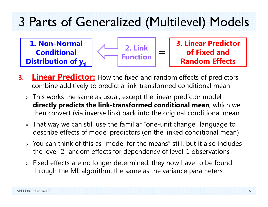### 3 Parts of Generalized (Multilevel) Models

**1. Non-Normal Conditional Distribution of yti** 



**3. Linear Predictor of Fixed and Random Effects**

- **3.Linear Predictor:** How the fixed and random effects of predictors combine additively to predict a link-transformed conditional mean
	- $\triangleright$  This works the same as usual, except the linear predictor model **directly predicts the link-transformed conditional mean**, which we then convert (via inverse link) back into the original conditional mean
	- $\triangleright$  That way we can still use the familiar "one-unit change" language to describe effects of model predictors (on the linked conditional mean)
	- $\triangleright$  You can think of this as "model for the means" still, but it also includes the level-2 random effects for dependency of level-1 observations
	- $\triangleright$  Fixed effects are no longer determined: they now have to be found through the ML algorithm, the same as the variance parameters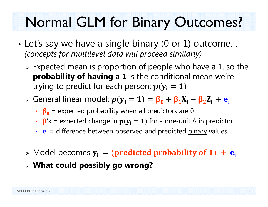## Normal GLM for Binary Outcomes?

- • Let's say we have a single binary (0 or 1) outcome… *(concepts for multilevel data will proceed similarly)*
	- $\triangleright$  Expected mean is proportion of people who have a 1, so the **probability of having a 1** is the conditional mean we're trying to predict for each person:  $p(y_i = 1)$
	- » General linear model:  $p(y_i = 1) = \beta_0 + \beta_1 X_i + \beta_2 Z_i + e_i$ 
		- $\cdot$   $\beta_0$  = expected probability when all predictors are 0
		- β's = expected change in  $p(y_i = 1)$  for a one-unit  $\Delta$  in predictor
		- $\bullet$   $\bullet$ <sub>i</sub> = difference between observed and predicted <u>binary</u> values
	- $\triangleright$  Model becomes  $y_i = (predicted \ probability \ of \ 1) + e_i$
	- **What could possibly go wrong?**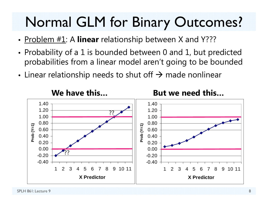## Normal GLM for Binary Outcomes?

- Problem #1: A **linear** relationship between X and Y???
- • Probability of a 1 is bounded between 0 and 1, but predicted probabilities from a linear model aren't going to be bounded
- • $\bullet\,$  Linear relationship needs to shut off  $\bm{\rightarrow}$  made nonlinear

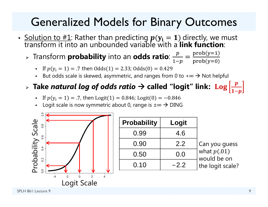#### Generalized Models for Binary Outcomes

- <u>Solution to #1</u>: Rather than predicting  $p(y_i = 1)$  directly, we must<br>transform it into an unbounded variable with a **link function**:
	- ➤  $\triangleright$  Transform **probability** into an **odds ratio**:  $\frac{p}{1-p}$ ൌ prob(y=1 prob(y=0)
		- If  $p(y_i = 1) = .7$  then  $Odds(1) = 2.33$ ;  $Odds(0) = 0.429$
		- ■ But odds scale is skewed, asymmetric, and ranges from 0 to +∞  $\rightarrow$  Not helpful

#### $\triangleright$  Take *natural log of odds ratio*  $\rightarrow$  called "logit" link:  $\text{Log}|\frac{p}{\sqrt{p}}$  $1-p$

- **If**  $p(y_i = 1) = .7$ , then  $Logit(1) = 0.846$ ; Logit $(0) = -0.846$
- ▪ Logit scale is now symmetric about 0, range is  $\pm \infty$   $\rightarrow$  DING



| <b>Probability</b> | Logit  |                              |
|--------------------|--------|------------------------------|
| 0.99               | 4.6    |                              |
| 0.90               | 2.2    | Can you guess                |
| 0.50               | 0.0    | what $p(.01)$<br>would be on |
| 0.10               | $-2.2$ | the logit scale?             |

SPLH 861: Lecture 9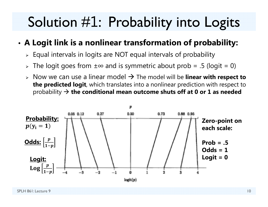## Solution #1: Probability into Logits

#### •**A Logit link is a nonlinear transformation of probability:**

- $\triangleright$  Equal intervals in logits are NOT equal intervals of probability
- The logit goes from ±∞ and is symmetric about prob = .5 (logit = 0)
- **► Now we can use a linear model → The model will be linear with respect to the predicted logit**, which translates into a nonlinear prediction with respect to probability **the conditional mean outcome shuts off at 0 or 1 as needed**

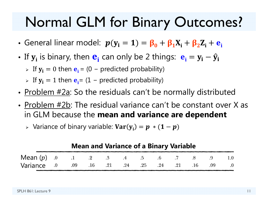## Normal GLM for Binary Outcomes?

- General linear model:  $p(y_i = 1) = \beta_0 + \beta_1 X_i + \beta_2 Z_i + e_i$
- If  $\mathbf{y_i}$  is binary, then  $\mathbf{e_i}$  can only be 2 things:  $\mathbf{e_i} = \mathbf{y_i} \mathbf{\hat{y_i}}$ 
	- > If  $y_i = 0$  then  $e_i = (0 -$  predicted probability)
	- > If  $y_i = 1$  then  $e_i = (1 -$  predicted probability)
- <u>Problem #2a</u>: So the residuals can't be normally distributed
- Problem #2b: The residual variance can't be constant over X as in GLM because the **mean and variance are dependent**
	- $\triangleright$  Variance of binary variable:  $\textbf{Var}(\mathbf{y_i}) = \boldsymbol{p} \, * (\boldsymbol{1} \boldsymbol{p})$

| <b>Mean and Variance of a Binary Variable</b>       |  |  |  |  |  |  |  |  |  |            |
|-----------------------------------------------------|--|--|--|--|--|--|--|--|--|------------|
| <b>Mean</b> $(p)$ .0 .1 .2 .3 .4 .5 .6 .7 .8 .9 1.0 |  |  |  |  |  |  |  |  |  |            |
| Variance 0 .09 .16 .21 .24 .25 .24 .21 .16 .09      |  |  |  |  |  |  |  |  |  | $\sim$ 0.0 |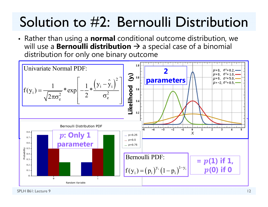## Solution to #2: Bernoulli Distribution

• Rather than using a **normal** conditional outcome distribution, we will use a **Bernoulli distribution**  $\rightarrow$  a special case of a binomial distribution for only one binary outcome

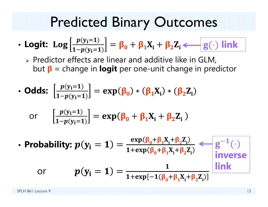### Predicted Binary Outcomes

• **Logit:** 
$$
\text{Log}\left[\frac{p(y_i=1)}{1-p(y_i=1)}\right] = \beta_0 + \beta_1 X_i + \beta_2 Z_i \longleftarrow g(\cdot) \text{ link}
$$

 $\triangleright$  Predictor effects are linear and additive like in GLM, but **β** = change in **logit** per one-unit change in predictor

• **odds:** 
$$
\left[\frac{p(y_i=1)}{1-p(y_i=1)}\right] = \exp(\beta_0) * (\beta_1 X_i) * (\beta_2 Z_i)
$$

or 
$$
\left[\frac{p(y_i=1)}{1-p(y_i=1)}\right] = \exp(\beta_0 + \beta_1 X_i + \beta_2 Z_i)
$$

• **Probability:** 
$$
p(y_i = 1) = \frac{\exp(\beta_0 + \beta_1 X_i + \beta_2 Z_i)}{1 + \exp(\beta_0 + \beta_1 X_i + \beta_2 Z_i)} \leftarrow g^{-1}(\cdot)
$$
  
or  $p(y_i = 1) = \frac{1}{1 + \exp[-1(\beta_0 + \beta_1 X_i + \beta_2 Z_i)]} \frac{\text{link}}{\text{link}}$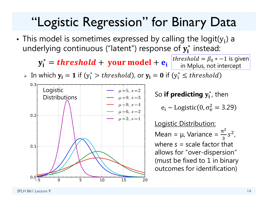#### "Logistic Regression" for Binary Data

• This model is sometimes expressed by calling the logit(y<sub>i</sub>) a underlying continuous ("latent") response of  $\mathbf{y_i^*}$  instead:

 $\mathbf{y^*_i} = \boldsymbol{threshold} + \textbf{ your model} + \textbf{e_i}$ 

*threshold* =  $\beta_0$   $*$  –1 is given in Mplus, not intercept

 $\triangleright$  In which  $\mathbf{y_i} = \mathbf{1}$  if  $(\mathbf{y_i^*} > threshold)$ , or  $\mathbf{y_i} = \mathbf{0}$  if  $(\mathbf{y_i^*} \le threshold)$ 



**So <b>if predicting**  $\mathbf{y}_\mathbf{i}^*$ , then

 ${\rm e}_{\rm i}$   $\sim$  Logistic(0,  $\sigma_{\rm e}^2$  $\frac{2}{9} = 3.29$ 

Logistic Distribution: Mean =  $\mu$ , Variance =  $\frac{\pi^2}{2}$ ଷݏ  $\frac{2}{\prime}$ where *s* = scale factor that allows for "over-dispersion" (must be fixed to 1 in binary outcomes for identification)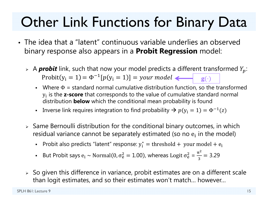## Other Link Functions for Binary Data

- The idea that a "latent" continuous variable underlies an observed binary response also appears in a **Probit Regression** model:
	- $\triangleright$  A **probit** link, such that now your model predicts a different transformed  $Y_p$ : Probit(y<sub>i</sub> = 1) =  $\Phi^{-1}[p(y_i = 1)] = your \ model$  **g**(·)
		- Where  $\Phi$  = standard normal cumulative distribution function, so the transformed  $y_i$  is the **z-score** that corresponds to the value of cumulative standard normal distribution **below** which the conditional mean probability is found
		- **I** Inverse link requires integration to find probability  $\rightarrow p(y_i = 1) = \Phi^{-1}(z)$
	- $\triangleright$  Same Bernoulli distribution for the conditional binary outcomes, in which residual variance cannot be separately estimated (so no  $\mathsf{e}_{\mathsf{i}}$  in the model)
		- n Probit also predicts "latent" response:  $y_i^* =$  threshold + your model +  $e_i$
		- n **But Probit says**  $e_i \sim \text{Normal}(0, \sigma_e^2)$  $\epsilon_{\rm e}^2 = 1.00$ ), whereas Logit  $\sigma_{\rm e}^2$  $^{2}_{6}$  =  $\pi^2$  $\frac{6}{3}$  = 3.29
	- $\triangleright$  So given this difference in variance, probit estimates are on a different scale than logit estimates, and so their estimates won't match… however…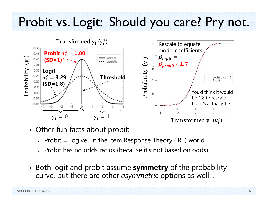#### Probit vs. Logit: Should you care? Pry not.



- Other fun facts about probit:
	- $\triangleright$  Probit = "ogive" in the Item Response Theory (IRT) world
	- $\triangleright$  Probit has no odds ratios (because it's not based on odds)
- Both logit and probit assume **symmetry** of the probability curve, but there are other *asymmetric* options as well…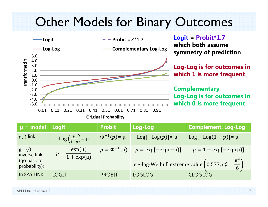#### Other Models for Binary Outcomes



**Logit = Probit\*1.7 which both assume symmetry of prediction**

**Log-Log is for outcomes in which 1 is more frequent**

**Complementary Log-Log is for outcomes in which 0 is more frequent**

| $\mu =$ model                                                   | Logit                                        | <b>Probit</b>        | Log-Log                 | <b>Complement. Log-Log</b>                                                                                            |
|-----------------------------------------------------------------|----------------------------------------------|----------------------|-------------------------|-----------------------------------------------------------------------------------------------------------------------|
| $g(\cdot)$ link                                                 | $\text{Log}\left(\frac{p}{1-p}\right) = \mu$ | $\Phi^{-1}(p) = \mu$ | $-Log[-Log(p)] = \mu$   | $Log[-Log(1-p)] = \mu$                                                                                                |
| $g^{-1}(\cdot)$<br>inverse link<br>(go back to<br>probability): | $exp(\mu)$<br>$p = \frac{1}{1 + \exp(\mu)}$  | $p = \Phi^{-1}(\mu)$ | $p = \exp[-\exp(-\mu)]$ | $p = 1 - \exp[-\exp(\mu)]$<br>$e_i \sim$ log-Weibull extreme value $\left(0.577, \sigma_e^2 = \frac{\pi^2}{6}\right)$ |
| In SAS LINK $=$                                                 | <b>LOGIT</b>                                 | <b>PROBIT</b>        | <b>LOGLOG</b>           | <b>CLOGLOG</b>                                                                                                        |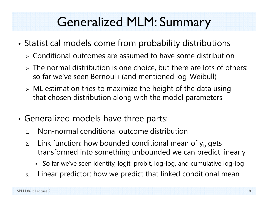## Generalized MLM: Summary

- • Statistical models come from probability distributions
	- Conditional outcomes are assumed to have some distribution
	- $>$  The normal distribution is one choice, but there are lots of others: so far we've seen Bernoulli (and mentioned log-Weibull)
	- $\triangleright$  ML estimation tries to maximize the height of the data using that chosen distribution along with the model parameters
- • Generalized models have three parts:
	- 1.Non-normal conditional outcome distribution
	- 2.Link function: how bounded conditional mean of  $y_{ti}$  gets transformed into something unbounded we can predict linearly
		- So far we've seen identity, logit, probit, log-log, and cumulative log-log
	- 3.Linear predictor: how we predict that linked conditional mean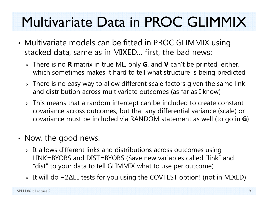## Multivariate Data in PROC GLIMMIX

- • Multivariate models can be fitted in PROC GLIMMIX using stacked data, same as in MIXED… first, the bad news:
	- There is no **R** matrix in true ML, only **G**, and **V** can't be printed, either, which sometimes makes it hard to tell what structure is being predicted
	- $\triangleright$  There is no easy way to allow different scale factors given the same link and distribution across multivariate outcomes (as far as I know)
	- $\triangleright$  This means that a random intercept can be included to create constant covariance across outcomes, but that any differential variance (scale) or covariance must be included via RANDOM statement as well (to go in **G**)
- Now, the good news:
	- $\triangleright$  It allows different links and distributions across outcomes using LINK=BYOBS and DIST=BYOBS (Save new variables called "link" and "dist" to your data to tell GLIMMIX what to use per outcome)
	- It will do − 2 ∆LL tests for you using the COVTEST option! (not in MIXED)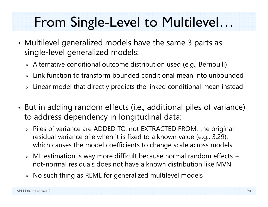## From Single-Level to Multilevel…

- Multilevel generalized models have the same 3 parts as single-level generalized models:
	- Alternative conditional outcome distribution used (e.g., Bernoulli)
	- $\triangleright$  Link function to transform bounded conditional mean into unbounded
	- $\triangleright\;$  Linear model that directly predicts the linked conditional mean instead
- • But in adding random effects (i.e., additional piles of variance) to address dependency in longitudinal data:
	- Piles of variance are ADDED TO, not EXTRACTED FROM, the original residual variance pile when it is fixed to a known value (e.g., 3.29), which causes the model coefficients to change scale across models
	- ML estimation is way more difficult because normal random effects + not-normal residuals does not have a known distribution like MVN
	- $\triangleright\;$  No such thing as REML for generalized multilevel models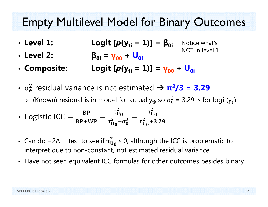#### Empty Multilevel Model for Binary Outcomes

Notice what's

NOT in level 1…

- Level 1: • Level 1: Logit  $[p(y_{ti} = 1)] = \beta_{0i}$
- **Level 2: β0i <sup>=</sup> γ00 <sup>+</sup> U0i**
- Composite: Logit [*p*(y<sub>ti</sub> **= 1)] <sup>=</sup> γ00 <sup>+</sup> U0i**
- $\bullet$   $\ \sigma_{\rm e}^{\scriptscriptstyle \rm o}$  $\frac{2}{9}$  residual variance is not estimated  $\rightarrow \pi^2/3 = 3.29$ 
	- $\triangleright$  (Known) residual is in model for actual  $\mathsf{y}_{\mathsf{t}\mathsf{i}'}$  so  $\sigma_{\mathsf{e}}^2$  $a_e^2$  = 3.29 is for logit(y<sub>ti</sub>)

• Logistic ICC = 
$$
\frac{\text{BP}}{\text{BP+WP}} = \frac{\tau_{U_0}^2}{\tau_{U_0}^2 + \sigma_e^2} = \frac{\tau_{U_0}^2}{\tau_{U_0}^2 + 3.29}
$$

- Can do –2 $\Delta$ LL test to see if  $\tau_U^2$  $^{2}_{\rm U_0}$ > 0, although the ICC is problematic to interpret due to non-constant, not estimated residual variance
- Have not seen equivalent ICC formulas for other outcomes besides binary!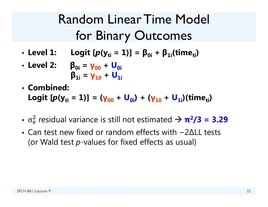## Random Linear Time Model for Binary Outcomes

- $\cdot$  Level 1: • Level 1: Logit [ $p$ (y<sub>ti</sub> = 1)] = β<sub>0i</sub> + β<sub>1i</sub>(time<sub>ti</sub>)
- **Level 2: β0i <sup>=</sup> γ00 <sup>+</sup> U0iβ1i <sup>=</sup> γ10 <sup>+</sup> U1i**
- **Combined:**

**Logit** [*p*(y<sub>ti</sub> = 1)] = (γ<sub>00</sub> + U<sub>0i</sub>) + (γ<sub>10</sub> + U<sub>1i</sub>)(time<sub>ti</sub>)

- $\bullet$   $\ \sigma_{\rm e}$  $\frac{2}{9}$  residual variance is still not estimated  $\rightarrow \pi^2/3 = 3.29$
- Can test new fixed or random effects with -2∆LL tests (or Wald test *p*-values for fixed effects as usual)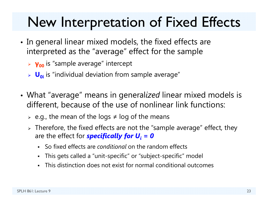## New Interpretation of Fixed Effects

- • $\bullet\,$  In general linear mixed models, the fixed effects are interpreted as the "average" effect for the sample
	- **γ00** is "sample average" intercept
	- **U**<sub>oi</sub> is "individual deviation from sample average"
- What "average" means in general*ized* linear mixed models is different, because of the use of nonlinear link functions:
	- $\triangleright$  e.g., the mean of the logs  $\neq$  log of the means
	- $\triangleright$  Therefore, the fixed effects are not the "sample average" effect, they are the effect for *specifically for U<sub>i</sub> = 0* 
		- $\blacksquare$ So fixed effects are *conditional* on the random effects
		- $\blacksquare$ This gets called a "unit-specific" or "subject-specific" model
		- $\blacksquare$ This distinction does not exist for normal conditional outcomes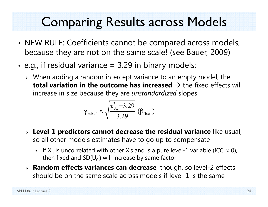## Comparing Results across Models

- •• NEW RULE: Coefficients cannot be compared across models, because they are not on the same scale! (see Bauer, 2009)
- • $\bullet\,$  e.g., if residual variance = 3.29 in binary models:
	- $\triangleright$  When adding a random intercept variance to an empty model, the  $\mathop{\mathsf{total}}$  variation in the outcome has increased  $\mathop{\rightarrow}$  the fixed effects will increase in size because they are *unstandardized* slopes

$$
\gamma_{\text{mixed}} \approx \sqrt{\frac{\tau_{U_0}^2 + 3.29}{3.29}} \, (\beta_{\text{fixed}})
$$

- **Level-1 predictors cannot decrease the residual variance** like usual, so all other models estimates have to go up to compensate
	- **The** If  $X_{ti}$  is uncorrelated with other X's and is a pure level-1 variable (ICC  $\approx$  0), then fixed and  $SD(U_{0i})$  will increase by same factor
- **Random effects variances can decrease**, though, so level-2 effects should be on the same scale across models if level-1 is the same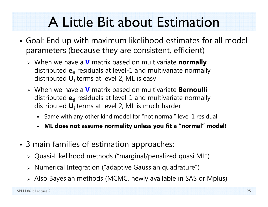## A Little Bit about Estimation

- • Goal: End up with maximum likelihood estimates for all model parameters (because they are consistent, efficient)
	- When we have a **V** matrix based on multivariate **normally** distributed  $\mathbf{e_{ti}}$  residuals at level-1 and multivariate normally distributed **Ui** terms at level 2, ML is easy
	- When we have a **V** matrix based on multivariate **Bernoulli** distributed  $\mathbf{e_{ti}}$  residuals at level-1 and multivariate normally distributed **Ui** terms at level 2, ML is much harder
		- Same with any other kind model for "not normal" level 1 residual
		- $\blacksquare$ **ML does not assume normality unless you fit a "normal" model!**
- • 3 main families of estimation approaches:
	- Quasi-Likelihood methods ("marginal/penalized quasi ML")
	- $\triangleright$   $\,$  Numerical Integration ("adaptive Gaussian quadrature")
	- Also Bayesian methods (MCMC, newly available in SAS or Mplus)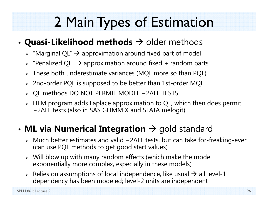## 2 Main Types of Estimation

#### • $\bullet$  Quasi-Likelihood methods  $\rightarrow$  older methods

- $\triangleright$  "Marginal QL"  $\rightarrow$  approximation around fixed part of model
- $\triangleright$  "Penalized QL"  $\rightarrow$  approximation around fixed + random parts
- These both underestimate variances (MQL more so than PQL)
- $\triangleright$  2nd-order PQL is supposed to be better than 1st-order MQL
- QL methods DO NOT PERMIT MODEL − 2 ∆LL TESTS
- $\triangleright$  HLM program adds Laplace approximation to QL, which then does permit − 2 ∆LL tests (also in SAS GLIMMIX and STATA melogit)

#### • $\bullet$  **ML via Numerical Integration**  $\to$  gold standard

- Much better estimates and valid − 2 ∆LL tests, but can take for-freaking-ever (can use PQL methods to get good start values)
- Will blow up with many random effects (which make the model exponentially more complex, especially in these models)
- $\triangleright$  Relies on assumptions of local independence, like usual  $\rightarrow$  all level-1 dependency has been modeled; level-2 units are independent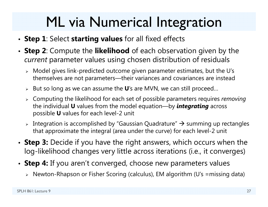## ML via Numerical Integration

- **Step 1**: Select **starting values** for all fixed effects
- **Step 2**: Compute the **likelihood** of each observation given by the *current* parameter values using chosen distribution of residuals
	- Model gives link-predicted outcome given parameter estimates, but the U's themselves are not parameters—their variances and covariances are instead
	- But so long as we can assume the **U**'s are MVN, we can still proceed…
	- Computing the likelihood for each set of possible parameters requires *removing* the individual **U** values from the model equation—by *integrating* across possible **U** values for each level-2 unit
	- $\triangleright$  Integration is accomplished by "Gaussian Quadrature"  $\rightarrow$  summing up rectangles that approximate the integral (area under the curve) for each level-2 unit
- **Step 3:** Decide if you have the right answers, which occurs when the log-likelihood changes very little across iterations (i.e., it converges)
- **Step 4:** If you aren't converged, choose new parameters values
	- Newton-Rhapson or Fisher Scoring (calculus), EM algorithm (U's =missing data)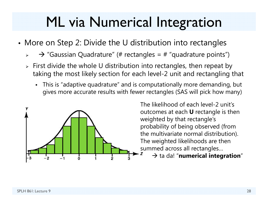## ML via Numerical Integration

- More on Step 2: Divide the U distribution into rectangles
	- $\blacktriangleright$  $\rightarrow$  "Gaussian Quadrature" (# rectangles = # "quadrature points")
	- $\triangleright$  First divide the whole U distribution into rectangles, then repeat by taking the most likely section for each level-2 unit and rectangling that
		- This is "adaptive quadrature" and is computationally more demanding, but gives more accurate results with fewer rectangles (SAS will pick how many)



The likelihood of each level-2 unit's outcomes at each **U** rectangle is then weighted by that rectangle's probability of being observed (from the multivariate normal distribution). The weighted likelihoods are then summed across all rectangles…

 $\rightarrow$  ta da! "numerical integration"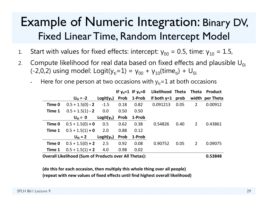#### Example of Numeric Integration: Binary DV, Fixed Linear Time, Random Intercept Model

- 1.. Start with values for fixed effects: intercept:  $\gamma_{00}$  = 0.5, time:  $\gamma_{10}$  = 1.5,
- 2.Compute likelihood for real data based on fixed effects and plausible  $U_{0i}$ (-2,0,2) using model: Logit(y $_{\rm ti}$ =1) =  $\gamma_{00}$  +  $\gamma_{10}$ (time $_{\rm ti})$  + U $_{\rm 0i}$ 
	- •Here for one person at two occasions with  $y_{ti}=1$  at both occasions

|        |                    |                 |      | IF $y_{ti} = 1$ IF $y_{ti} = 0$ | Likelihood Theta Theta |      |                | <b>Product</b>  |
|--------|--------------------|-----------------|------|---------------------------------|------------------------|------|----------------|-----------------|
|        | $U_{0i} = -2$      | $Logit(y_{ti})$ |      | Prob 1-Prob                     | if both $y=1$ prob     |      |                | width per Theta |
| Time 0 | $0.5 + 1.5(0) - 2$ | $-1.5$          | 0.18 | 0.82                            | 0.091213               | 0.05 | $\overline{2}$ | 0.00912         |
| Time 1 | $0.5 + 1.5(1) - 2$ | 0.0             | 0.50 | 0.50                            |                        |      |                |                 |
|        | $U_{0i} = 0$       | $Logit(y_{ti})$ | Prob | 1-Prob                          |                        |      |                |                 |
| Time 0 | $0.5 + 1.5(0) + 0$ | 0.5             | 0.62 | 0.38                            | 0.54826                | 0.40 | 2              | 0.43861         |
| Time 1 | $0.5 + 1.5(1) + 0$ | 2.0             | 0.88 | 0.12                            |                        |      |                |                 |
|        | $U_{0i} = 2$       | $Logit(y_{ti})$ | Prob | 1-Prob                          |                        |      |                |                 |
| Time 0 | $0.5 + 1.5(0) + 2$ | 2.5             | 0.92 | 0.08                            | 0.90752                | 0.05 | $\overline{2}$ | 0.09075         |
| Time 1 | $0.5 + 1.5(1) + 2$ | 4.0             | 0.98 | 0.02                            |                        |      |                |                 |
|        |                    |                 |      |                                 |                        |      |                |                 |

**Overall Likelihood (Sum of Products over All Thetas): 0.53848**

**(do this for each occasion, then multiply this whole thing over all people) (repeat with new values of fixed effects until find highest overall likelihood)**